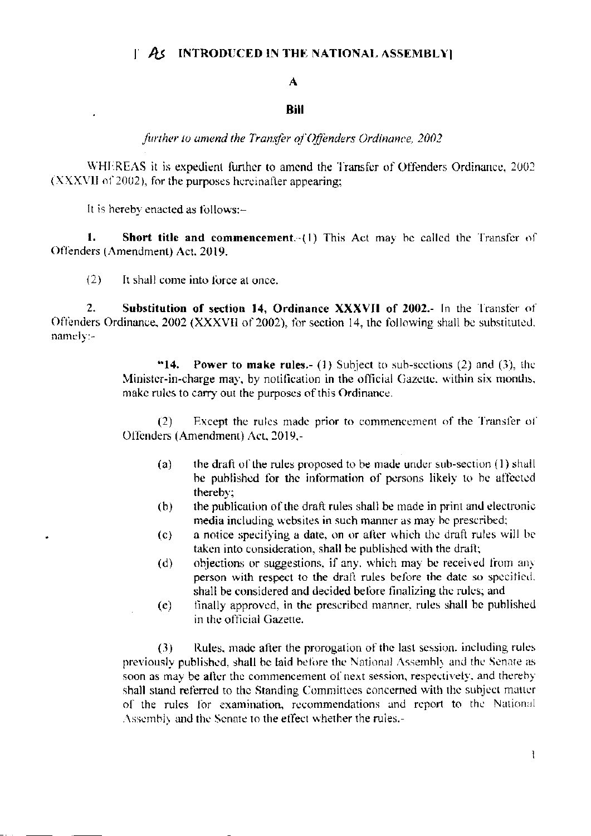## $\parallel$  As INTRODUCED IN THE NATIONAL ASSEMBLY

## $\mathbf{A}$

## **Rill**

further to amend the Transfer of Offenders Ordinance, 2002

WHEREAS it is expedient further to amend the Transfer of Offenders Ordinance, 2002 (XXXVII of 2002), for the purposes hereinafter appearing;

It is hereby enacted as follows:-

1. **Short title and commencement**. (1) This Act may be called the Transfer of Offenders (Amendment) Act. 2019.

 $(2)$ It shall come into force at once.

 $\overline{2}$ . Substitution of section 14, Ordinance XXXVII of 2002.- In the Transfer of Offenders Ordinance, 2002 (XXXVII of 2002), for section 14, the following shall be substituted.  $namely: -$ 

> "14. **Power to make rules.** (1) Subject to sub-sections (2) and (3), the Minister-in-charge may, by notification in the official Gazette, within six months, make rules to carry out the purposes of this Ordinance.

> Except the rules made prior to commencement of the Transfer of  $(2)$ Offenders (Amendment) Act, 2019,-

- the draft of the rules proposed to be made under sub-section (1) shall  $(a)$ be published for the information of persons likely to be affected thereby;
- the publication of the draft rules shall be made in print and electronic  $(b)$ media including websites in such manner as may be prescribed;
- a notice specifying a date, on or after which the draft rules will be  $(c)$ taken into consideration, shall be published with the draft;
- objections or suggestions, if any, which may be received from any  $(d)$ person with respect to the draft rules before the date so specified. shall be considered and decided before finalizing the rules; and
- finally approved, in the prescribed manner, rules shall be published  $(e)$ in the official Gazette.

 $(3)$ Rules, made after the prorogation of the last session, including rules previously published, shall be laid before the National Assembly and the Senate as soon as may be after the commencement of next session, respectively, and thereby shall stand referred to the Standing Committees concerned with the subject matter of the rules for examination, recommendations and report to the National Assembly and the Senate to the effect whether the rules.-